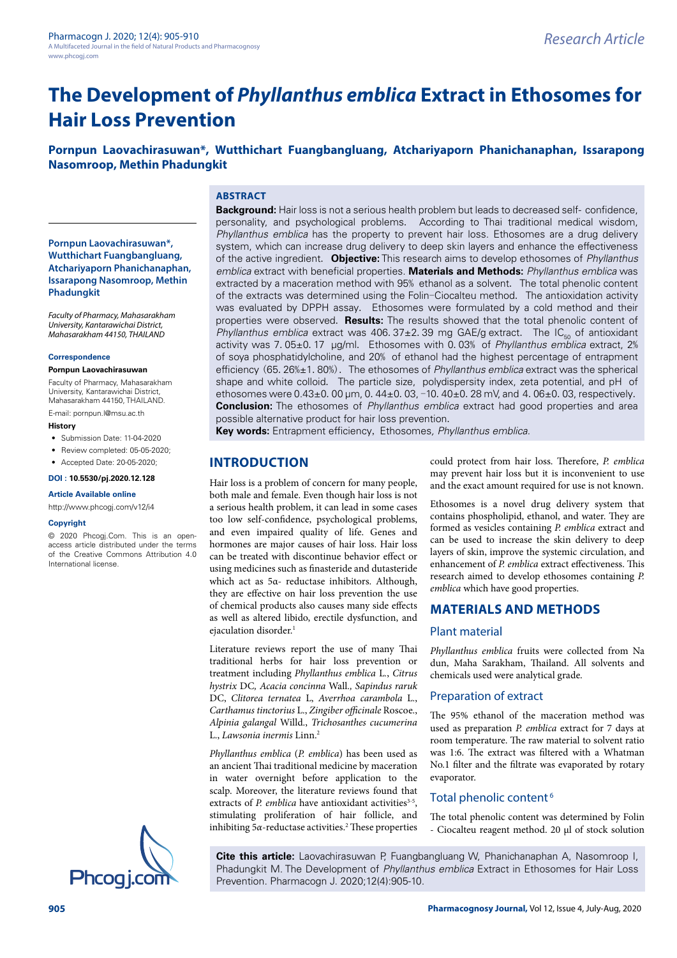# **The Development of** *Phyllanthus emblica* **Extract in Ethosomes for Hair Loss Prevention**

**Pornpun Laovachirasuwan\*, Wutthichart Fuangbangluang, Atchariyaporn Phanichanaphan, Issarapong Nasomroop, Methin Phadungkit**

# **ABSTRACT**

**Pornpun Laovachirasuwan\*, Wutthichart Fuangbangluang, Atchariyaporn Phanichanaphan, Issarapong Nasomroop, Methin Phadungkit**

*Faculty of Pharmacy, Mahasarakham University, Kantarawichai District, Mahasarakham 44150, THAILAND*

#### **Correspondence**

#### **Pornpun Laovachirasuwan**

Faculty of Pharmacy, Mahasarakham University, Kantarawichai District, Mahasarakham 44150, THAILAND.

E-mail: [pornpun.l@msu.ac.th](mailto:pornpun.l@msu.ac.th)

#### **History**

- Submission Date: 11-04-2020
- Review completed: 05-05-2020;
- Accepted Date: 20-05-2020;

# **DOI : 10.5530/pj.2020.12.128**

#### **Article Available online**

<http://www.phcogj.com/v12/i4>

#### **Copyright**

© 2020 Phcogj.Com. This is an openaccess article distributed under the terms of the Creative Commons Attribution 4.0 International license.



**Background:** Hair loss is not a serious health problem but leads to decreased self- confidence, personality, and psychological problems. According to Thai traditional medical wisdom, *Phyllanthus emblica* has the property to prevent hair loss. Ethosomes are a drug delivery system, which can increase drug delivery to deep skin layers and enhance the effectiveness of the active ingredient. **Objective:** This research aims to develop ethosomes of *Phyllanthus emblica* extract with beneficial properties. **Materials and Methods:** *Phyllanthus emblica* was extracted by a maceration method with 95% ethanol as a solvent. The total phenolic content of the extracts was determined using the Folin-Ciocalteu method. The antioxidation activity was evaluated by DPPH assay. Ethosomes were formulated by a cold method and their properties were observed. **Results:** The results showed that the total phenolic content of *Phyllanthus emblica* extract was 406.37 $\pm$ 2.39 mg GAE/g extract. The IC<sub>50</sub> of antioxidant activity was 7.05±0.17 μg/ml. Ethosomes with 0.03% of *Phyllanthus emblica* extract, 2% of soya phosphatidylcholine, and 20% of ethanol had the highest percentage of entrapment efficiency (65.26%±1.80%). The ethosomes of *Phyllanthus emblica* extract was the spherical shape and white colloid. The particle size, polydispersity index, zeta potential, and pH of ethosomes were  $0.43\pm0.00$  µm, 0.44 $\pm0.03$ , -10.40 $\pm0.28$  mV, and 4.06 $\pm0.03$ , respectively. **Conclusion:** The ethosomes of *Phyllanthus emblica* extract had good properties and area possible alternative product for hair loss prevention.

**Key words:** Entrapment efficiency, Ethosomes*, Phyllanthus emblica.*

# **INTRODUCTION**

Hair loss is a problem of concern for many people, both male and female. Even though hair loss is not a serious health problem, it can lead in some cases too low self-confidence, psychological problems, and even impaired quality of life. Genes and hormones are major causes of hair loss. Hair loss can be treated with discontinue behavior effect or using medicines such as finasteride and dutasteride which act as 5α- reductase inhibitors. Although, they are effective on hair loss prevention the use of chemical products also causes many side effects as well as altered libido, erectile dysfunction, and ejaculation disorder.<sup>1</sup>

Literature reviews report the use of many Thai traditional herbs for hair loss prevention or treatment including *Phyllanthus emblica* L*.*, *Citrus hystrix* DC*, Acacia concinna* Wall*., Sapindus raruk*  DC, *Clitorea ternatea* L, *Averrhoa carambola* L., *Carthamus tinctorius* L., *Zingiber officinale* Roscoe., *Alpinia galangal* Willd., *Trichosanthes cucumerina* L., *Lawsonia inermis* Linn.2

*Phyllanthus emblica* (*P. emblica*) has been used as an ancient Thai traditional medicine by maceration in water overnight before application to the scalp. Moreover, the literature reviews found that extracts of *P. emblica* have antioxidant activities<sup>3-5</sup>, stimulating proliferation of hair follicle, and inhibiting 5α-reductase activities.<sup>2</sup> These properties could protect from hair loss. Therefore, *P. emblica*  may prevent hair loss but it is inconvenient to use and the exact amount required for use is not known.

Ethosomes is a novel drug delivery system that contains phospholipid, ethanol, and water. They are formed as vesicles containing *P. emblica* extract and can be used to increase the skin delivery to deep layers of skin, improve the systemic circulation, and enhancement of *P. emblica* extract effectiveness. This research aimed to develop ethosomes containing *P. emblica* which have good properties.

# **MATERIALS AND METHODS**

#### Plant material

*Phyllanthus emblica* fruits were collected from Na dun, Maha Sarakham, Thailand. All solvents and chemicals used were analytical grade.

# Preparation of extract

The 95% ethanol of the maceration method was used as preparation *P. emblica* extract for 7 days at room temperature. The raw material to solvent ratio was 1:6. The extract was filtered with a Whatman No.1 filter and the filtrate was evaporated by rotary evaporator.

#### Total phenolic content<sup>6</sup>

The total phenolic content was determined by Folin - Ciocalteu reagent method. 20 μl of stock solution

**Cite this article:** Laovachirasuwan P, Fuangbangluang W, Phanichanaphan A, Nasomroop I, Phadungkit M. The Development of *Phyllanthus emblica* Extract in Ethosomes for Hair Loss<br>Phcog i.com Prevention. Pharmacogn J. 2020;12(4):905-10.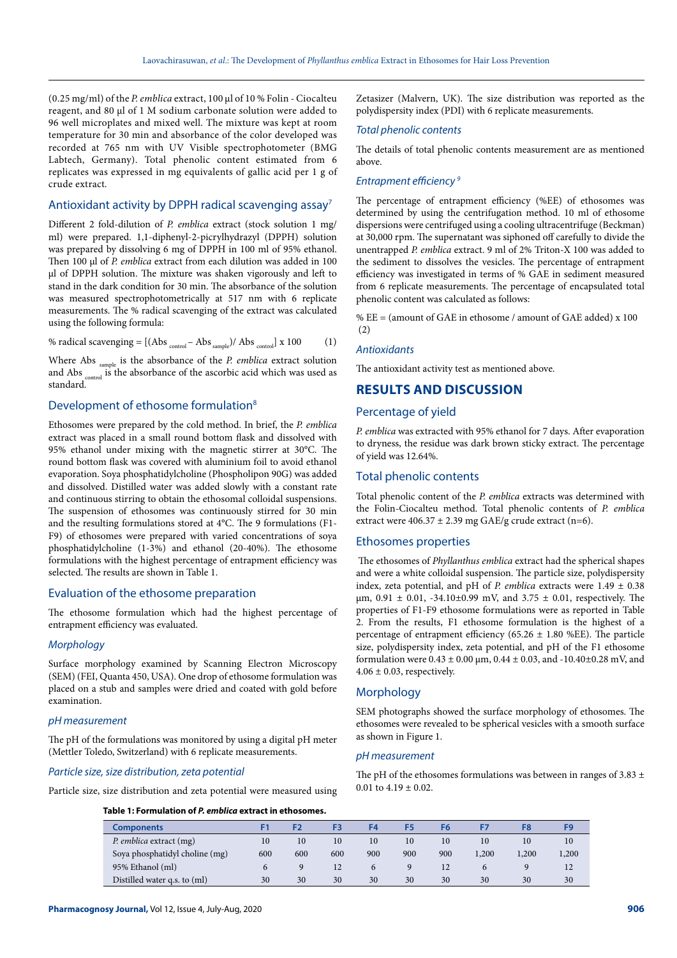(0.25 mg/ml) of the *P. emblica* extract, 100 μl of 10 % Folin - Ciocalteu reagent, and 80 μl of 1 M sodium carbonate solution were added to 96 well microplates and mixed well. The mixture was kept at room temperature for 30 min and absorbance of the color developed was recorded at 765 nm with UV Visible spectrophotometer (BMG Labtech, Germany). Total phenolic content estimated from 6 replicates was expressed in mg equivalents of gallic acid per 1 g of crude extract.

# Antioxidant activity by DPPH radical scavenging assay7

Different 2 fold-dilution of *P. emblica* extract (stock solution 1 mg/ ml) were prepared. 1,1-diphenyl-2-picrylhydrazyl (DPPH) solution was prepared by dissolving 6 mg of DPPH in 100 ml of 95% ethanol. Then 100 μl of *P. emblica* extract from each dilution was added in 100 μl of DPPH solution. The mixture was shaken vigorously and left to stand in the dark condition for 30 min. The absorbance of the solution was measured spectrophotometrically at 517 nm with 6 replicate measurements. The % radical scavenging of the extract was calculated using the following formula:

% radical scavenging =  $[(\text{Abs}_{\text{control}} - \text{Abs}_{\text{sample}})/\text{Abs}_{\text{control}}] \times 100$  (1)

Where Abs sample is the absorbance of the *P. emblica* extract solution and Abs <sub>control</sub> is the absorbance of the ascorbic acid which was used as standard.

#### Development of ethosome formulation<sup>8</sup>

Ethosomes were prepared by the cold method. In brief, the *P. emblica* extract was placed in a small round bottom flask and dissolved with 95% ethanol under mixing with the magnetic stirrer at 30°C. The round bottom flask was covered with aluminium foil to avoid ethanol evaporation. Soya phosphatidylcholine (Phospholipon 90G) was added and dissolved. Distilled water was added slowly with a constant rate and continuous stirring to obtain the ethosomal colloidal suspensions. The suspension of ethosomes was continuously stirred for 30 min and the resulting formulations stored at 4°C. The 9 formulations (F1- F9) of ethosomes were prepared with varied concentrations of soya phosphatidylcholine (1-3%) and ethanol (20-40%). The ethosome formulations with the highest percentage of entrapment efficiency was selected. The results are shown in Table 1.

#### Evaluation of the ethosome preparation

The ethosome formulation which had the highest percentage of entrapment efficiency was evaluated.

### *Morphology*

Surface morphology examined by Scanning Electron Microscopy (SEM) (FEI, Quanta 450, USA). One drop of ethosome formulation was placed on a stub and samples were dried and coated with gold before examination.

#### *pH measurement*

The pH of the formulations was monitored by using a digital pH meter (Mettler Toledo, Switzerland) with 6 replicate measurements.

#### *Particle size, size distribution, zeta potential*

Particle size, size distribution and zeta potential were measured using

Zetasizer (Malvern, UK). The size distribution was reported as the polydispersity index (PDI) with 6 replicate measurements.

#### *Total phenolic contents*

The details of total phenolic contents measurement are as mentioned above.

#### *Entrapment efficiency 9*

The percentage of entrapment efficiency (%EE) of ethosomes was determined by using the centrifugation method. 10 ml of ethosome dispersions were centrifuged using a cooling ultracentrifuge (Beckman) at 30,000 rpm. The supernatant was siphoned off carefully to divide the unentrapped *P. emblica* extract. 9 ml of 2% Triton-X 100 was added to the sediment to dissolves the vesicles. The percentage of entrapment efficiency was investigated in terms of % GAE in sediment measured from 6 replicate measurements. The percentage of encapsulated total phenolic content was calculated as follows:

% EE = (amount of GAE in ethosome / amount of GAE added) x 100 (2)

#### *Antioxidants*

The antioxidant activity test as mentioned above.

# **RESULTS AND DISCUSSION**

#### Percentage of yield

*P. emblica* was extracted with 95% ethanol for 7 days. After evaporation to dryness, the residue was dark brown sticky extract. The percentage of yield was 12.64%.

#### Total phenolic contents

Total phenolic content of the *P. emblica* extracts was determined with the Folin-Ciocalteu method. Total phenolic contents of *P. emblica* extract were  $406.37 \pm 2.39$  mg GAE/g crude extract (n=6).

#### Ethosomes properties

The ethosomes of *Phyllanthus emblica* extract had the spherical shapes and were a white colloidal suspension. The particle size, polydispersity index, zeta potential, and pH of *P. emblica* extracts were  $1.49 \pm 0.38$  $\mu$ m, 0.91  $\pm$  0.01, -34.10 $\pm$ 0.99 mV, and 3.75  $\pm$  0.01, respectively. The properties of F1-F9 ethosome formulations were as reported in Table 2. From the results, F1 ethosome formulation is the highest of a percentage of entrapment efficiency (65.26  $\pm$  1.80 %EE). The particle size, polydispersity index, zeta potential, and pH of the F1 ethosome formulation were  $0.43 \pm 0.00$  µm,  $0.44 \pm 0.03$ , and  $-10.40 \pm 0.28$  mV, and  $4.06 \pm 0.03$ , respectively.

#### **Morphology**

SEM photographs showed the surface morphology of ethosomes. The ethosomes were revealed to be spherical vesicles with a smooth surface as shown in Figure 1.

#### *pH measurement*

The pH of the ethosomes formulations was between in ranges of 3.83  $\pm$ 0.01 to  $4.19 \pm 0.02$ .

| Table 1: Formulation of <i>P. emblica</i> extract in ethosomes. |  |
|-----------------------------------------------------------------|--|
|-----------------------------------------------------------------|--|

| Components                     |     |     |     | F4  |     | F6  |       |       |       |
|--------------------------------|-----|-----|-----|-----|-----|-----|-------|-------|-------|
| P. emblica extract (mg)        | 10  | 10  | 10  | 10  | 10  | 10  | 10    | 10    | 10    |
| Soya phosphatidyl choline (mg) | 600 | 600 | 600 | 900 | 900 | 900 | 1,200 | 1,200 | 1,200 |
| 95% Ethanol (ml)               |     |     | 12  |     |     | 12  |       |       | 12    |
| Distilled water q.s. to (ml)   | 30  | 30  | 30  | 30  | 30  | 30  | 30    | 30    | 30    |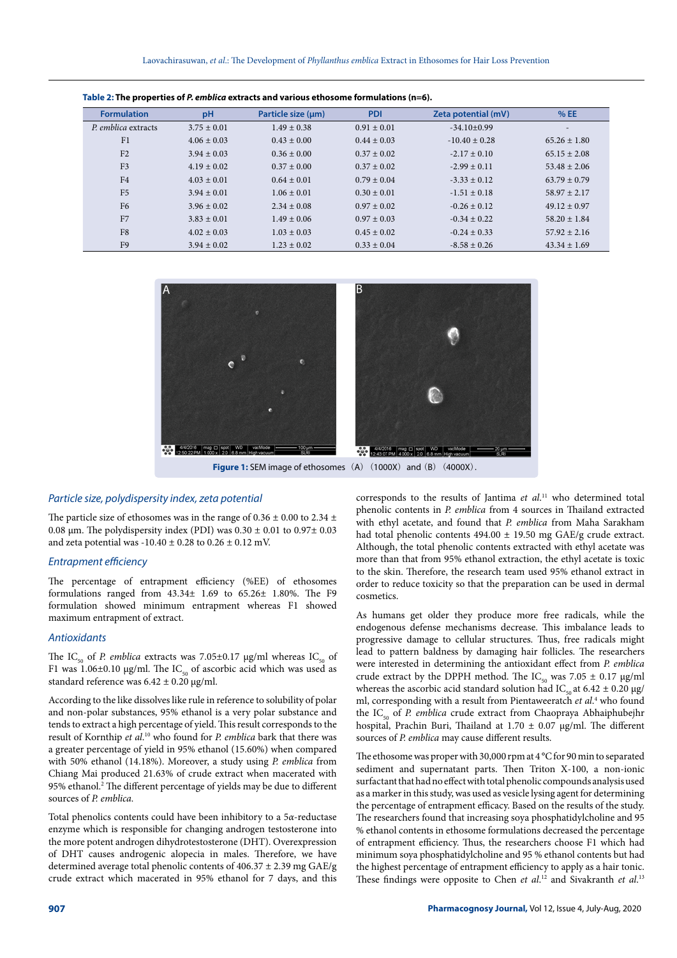| <u>1990 - Petro Marchiel Alexander Children Children and Marchiel Children Milliam (11–6).</u> |                 |                    |                 |                     |                  |  |  |  |  |  |
|------------------------------------------------------------------------------------------------|-----------------|--------------------|-----------------|---------------------|------------------|--|--|--|--|--|
| <b>Formulation</b>                                                                             | pH              | Particle size (um) | <b>PDI</b>      | Zeta potential (mV) | %EE              |  |  |  |  |  |
| P. emblica extracts                                                                            | $3.75 \pm 0.01$ | $1.49 \pm 0.38$    | $0.91 \pm 0.01$ | $-34.10 \pm 0.99$   |                  |  |  |  |  |  |
| F <sub>1</sub>                                                                                 | $4.06 \pm 0.03$ | $0.43 \pm 0.00$    | $0.44 \pm 0.03$ | $-10.40 \pm 0.28$   | $65.26 \pm 1.80$ |  |  |  |  |  |
| F <sub>2</sub>                                                                                 | $3.94 \pm 0.03$ | $0.36 \pm 0.00$    | $0.37 \pm 0.02$ | $-2.17 \pm 0.10$    | $65.15 \pm 2.08$ |  |  |  |  |  |
| F <sub>3</sub>                                                                                 | $4.19 \pm 0.02$ | $0.37 \pm 0.00$    | $0.37 \pm 0.02$ | $-2.99 \pm 0.11$    | $53.48 \pm 2.06$ |  |  |  |  |  |
| F <sub>4</sub>                                                                                 | $4.03 \pm 0.01$ | $0.64 \pm 0.01$    | $0.79 \pm 0.04$ | $-3.33 + 0.12$      | $63.79 \pm 0.79$ |  |  |  |  |  |
| F <sub>5</sub>                                                                                 | $3.94 \pm 0.01$ | $1.06 \pm 0.01$    | $0.30 \pm 0.01$ | $-1.51 \pm 0.18$    | $58.97 + 2.17$   |  |  |  |  |  |
| F <sub>6</sub>                                                                                 | $3.96 \pm 0.02$ | $2.34 \pm 0.08$    | $0.97 \pm 0.02$ | $-0.26 \pm 0.12$    | $49.12 \pm 0.97$ |  |  |  |  |  |
| F <sub>7</sub>                                                                                 | $3.83 \pm 0.01$ | $1.49 \pm 0.06$    | $0.97 \pm 0.03$ | $-0.34 + 0.22$      | $58.20 \pm 1.84$ |  |  |  |  |  |
| F8                                                                                             | $4.02 \pm 0.03$ | $1.03 \pm 0.03$    | $0.45 \pm 0.02$ | $-0.24 \pm 0.33$    | $57.92 \pm 2.16$ |  |  |  |  |  |
| F <sub>9</sub>                                                                                 | $3.94 \pm 0.02$ | $1.23 \pm 0.02$    | $0.33 \pm 0.04$ | $-8.58 \pm 0.26$    | $43.34 \pm 1.69$ |  |  |  |  |  |

**Table 2: The properties of** *P. emblica* **extracts and various ethosome formulations (n=6).**



**Figure 1:** SEM image of ethosomes (A) (1000X) and (B) (4000X).

#### *Particle size, polydispersity index, zeta potential*

The particle size of ethosomes was in the range of  $0.36 \pm 0.00$  to  $2.34 \pm 0.00$ 0.08  $\mu$ m. The polydispersity index (PDI) was 0.30  $\pm$  0.01 to 0.97 $\pm$  0.03 and zeta potential was  $-10.40 \pm 0.28$  to  $0.26 \pm 0.12$  mV.

# *Entrapment efficiency*

The percentage of entrapment efficiency (%EE) of ethosomes formulations ranged from 43.34± 1.69 to 65.26± 1.80%. The F9 formulation showed minimum entrapment whereas F1 showed maximum entrapment of extract.

#### *Antioxidants*

The IC<sub>50</sub> of *P. emblica* extracts was 7.05±0.17 µg/ml whereas IC<sub>50</sub> of F1 was 1.06±0.10 µg/ml. The IC<sub>50</sub> of ascorbic acid which was used as standard reference was  $6.42 \pm 0.20$  µg/ml.

According to the like dissolves like rule in reference to solubility of polar and non-polar substances, 95% ethanol is a very polar substance and tends to extract a high percentage of yield. This result corresponds to the result of Kornthip *et al*. 10 who found for *P. emblica* bark that there was a greater percentage of yield in 95% ethanol (15.60%) when compared with 50% ethanol (14.18%). Moreover, a study using *P. emblica* from Chiang Mai produced 21.63% of crude extract when macerated with 95% ethanol.<sup>2</sup> The different percentage of yields may be due to different sources of *P. emblica.*

Total phenolics contents could have been inhibitory to a 5*α*-reductase enzyme which is responsible for changing androgen testosterone into the more potent androgen dihydrotestosterone (DHT). Overexpression of DHT causes androgenic alopecia in males. Therefore, we have determined average total phenolic contents of  $406.37 \pm 2.39$  mg GAE/g crude extract which macerated in 95% ethanol for 7 days, and this

corresponds to the results of Jantima *et al*. 11 who determined total phenolic contents in *P. emblica* from 4 sources in Thailand extracted with ethyl acetate, and found that *P. emblica* from Maha Sarakham had total phenolic contents 494.00 ± 19.50 mg GAE/g crude extract. Although, the total phenolic contents extracted with ethyl acetate was more than that from 95% ethanol extraction, the ethyl acetate is toxic to the skin. Therefore, the research team used 95% ethanol extract in order to reduce toxicity so that the preparation can be used in dermal cosmetics.

As humans get older they produce more free radicals, while the endogenous defense mechanisms decrease. This imbalance leads to progressive damage to cellular structures. Thus, free radicals might lead to pattern baldness by damaging hair follicles. The researchers were interested in determining the antioxidant effect from *P. emblica*  crude extract by the DPPH method. The IC<sub>50</sub> was 7.05  $\pm$  0.17 µg/ml whereas the ascorbic acid standard solution had IC<sub>50</sub> at 6.42  $\pm$  0.20 µg/ ml, corresponding with a result from [Pientaweeratch](http://www.tandfonline.com/author/Pientaweeratch%2C+Sirinya) et al.<sup>4</sup> who found the IC<sub>50</sub> of *P. emblica* crude extract from Chaopraya Abhaiphubejhr hospital, Prachin Buri, Thailand at 1.70 ± 0.07 µg/ml. The different sources of *P. emblica* may cause different results.

The ethosome was proper with 30,000 rpm at 4 °C for 90 min to separated sediment and supernatant parts. Then Triton X-100, a non-ionic surfactant that had no effect with total phenolic compounds analysis used as a marker in this study, was used as vesicle lysing agent for determining the percentage of entrapment efficacy. Based on the results of the study. The researchers found that increasing soya phosphatidylcholine and 95 % ethanol contents in ethosome formulations decreased the percentage of entrapment efficiency. Thus, the researchers choose F1 which had minimum soya phosphatidylcholine and 95 % ethanol contents but had the highest percentage of entrapment efficiency to apply as a hair tonic. These findings were opposite to Chen et al.<sup>12</sup> and Sivakranth et al.<sup>13</sup>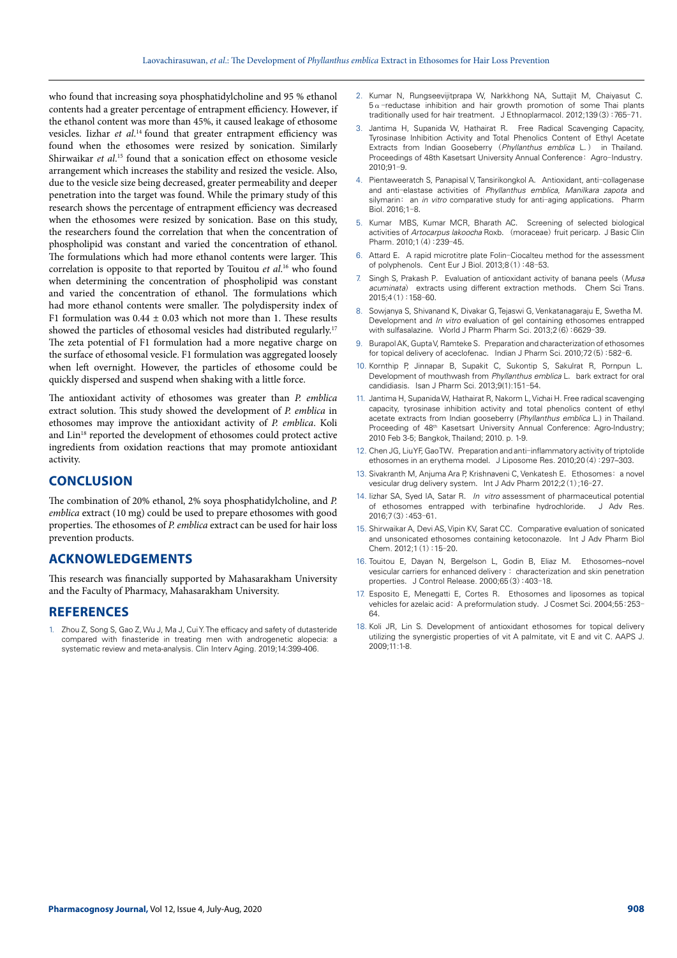who found that increasing soya phosphatidylcholine and 95 % ethanol contents had a greater percentage of entrapment efficiency. However, if the ethanol content was more than 45%, it caused leakage of ethosome vesicles. Iizhar *et al*. 14 found that greater entrapment efficiency was found when the ethosomes were resized by sonication. Similarly Shirwaikar *et al*. 15 found that a sonication effect on ethosome vesicle arrangement which increases the stability and resized the vesicle. Also, due to the vesicle size being decreased, greater permeability and deeper penetration into the target was found. While the primary study of this research shows the percentage of entrapment efficiency was decreased when the ethosomes were resized by sonication. Base on this study, the researchers found the correlation that when the concentration of phospholipid was constant and varied the concentration of ethanol. The formulations which had more ethanol contents were larger. This correlation is opposite to that reported by Touitou *et al*. 16 who found when determining the concentration of phospholipid was constant and varied the concentration of ethanol. The formulations which had more ethanol contents were smaller. The polydispersity index of F1 formulation was  $0.44 \pm 0.03$  which not more than 1. These results showed the particles of ethosomal vesicles had distributed regularly.<sup>17</sup> The zeta potential of F1 formulation had a more negative charge on the surface of ethosomal vesicle. F1 formulation was aggregated loosely when left overnight. However, the particles of ethosome could be quickly dispersed and suspend when shaking with a little force.

The antioxidant activity of ethosomes was greater than *P. emblica* extract solution. This study showed the development of *P. emblica* in ethosomes may improve the antioxidant activity of *P. emblica*. Koli and Lin<sup>18</sup> reported the development of ethosomes could protect active ingredients from oxidation reactions that may promote antioxidant activity.

# **CONCLUSION**

The combination of 20% ethanol, 2% soya phosphatidylcholine, and *P. emblica* extract (10 mg) could be used to prepare ethosomes with good properties. The ethosomes of *P. emblica* extract can be used for hair loss prevention products.

# **ACKNOWLEDGEMENTS**

This research was financially supported by Mahasarakham University and the Faculty of Pharmacy, Mahasarakham University.

#### **REFERENCES**

1. Zhou Z, Song S, Gao Z, Wu J, Ma J, Cui Y. The efficacy and safety of dutasteride compared with finasteride in treating men with androgenetic alopecia: a systematic review and meta-analysis. Clin Interv Aging. 2019;14:399-406.

- 2. Kumar N, Rungseevijitprapa W, Narkkhong NA, Suttajit M, Chaiyasut C.  $5\alpha$ -reductase inhibition and hair growth promotion of some Thai plants traditionally used for hair treatment. J Ethnoplarmacol. 2012;139(3):765-71.
- 3. Jantima H, Supanida W, Hathairat R. Free Radical Scavenging Capacity, Tyrosinase Inhibition Activity and Total Phenolics Content of Ethyl Acetate Extracts from Indian Gooseberry (*Phyllanthus emblica* L.) in Thailand. Proceedings of 48th Kasetsart University Annual Conference: Agro-Industry. 2010;91-9.
- 4. Pientaweeratch S, Panapisal V, Tansirikongkol A. Antioxidant, anti-collagenase and anti-elastase activities of *Phyllanthus emblica*, *Manilkara zapota* and silymarin: an *in vitro* comparative study for anti-aging applications. Pharm Biol. 2016;1-8.
- 5. Kumar MBS, Kumar MCR, Bharath AC. Screening of selected biological activities of *Artocarpus lakoocha* Roxb. (moraceae) fruit pericarp. J Basic Clin Pharm. 2010;1(4):239-45.
- Attard E. A rapid microtitre plate Folin-Ciocalteu method for the assessment of polyphenols. Cent Eur J Biol. 2013;8(1):48-53.
- 7. Singh S, Prakash P. Evaluation of antioxidant activity of banana peels (*Musa acuminata*) extracts using different extraction methods. Chem Sci Trans. 2015;4(1):158-60.
- 8. Sowjanya S, Shivanand K, Divakar G, Tejaswi G, Venkatanagaraju E, Swetha M. Development and *In vitro* evaluation of gel containing ethosomes entrapped with sulfasalazine. World J Pharm Pharm Sci. 2013;2(6):6629-39.
- 9. Burapol AK, Gupta V, Ramteke S. Preparation and characterization of ethosomes for topical delivery of aceclofenac. Indian J Pharm Sci. 2010;72(5):582-6.
- 10. Kornthip P, Jinnapar B, Supakit C, Sukontip S, Sakulrat R, Pornpun L. [Development of mouthwash from](https://pharm.kku.ac.th/isan-journal/journal/volumn9-no1/002-Proceeding/Page151-154.pdf) *Phyllanthus emblica* L. bark extract for oral [candidiasis](https://pharm.kku.ac.th/isan-journal/journal/volumn9-no1/002-Proceeding/Page151-154.pdf). Isan J Pharm Sci. 2013;9(1):151-54.
- 11. Jantima H, Supanida W, Hathairat R, Nakorm L, Vichai H. Free radical scavenging capacity, tyrosinase inhibition activity and total phenolics content of ethyl acetate extracts from Indian gooseberry (*Phyllanthus emblica* L.) in Thailand. Proceeding of 48<sup>th</sup> Kasetsart University Annual Conference: Agro-Industry; 2010 Feb 3-5; Bangkok, Thailand; 2010. p. 1-9.
- 12. Chen JG, Liu YF, Gao TW. Preparation and anti-inflammatory activity of triptolide ethosomes in an erythema model. J Liposome Res. 2010;20(4):297–303.
- 13. Sivakranth M, Anjuma Ara P, Krishnaveni C, Venkatesh E. Ethosomes: a novel vesicular drug delivery system. Int J Adv Pharm 2012;2(1);16-27.
- 14. Iizhar SA, Syed IA, Satar R. *In vitro* assessment of pharmaceutical potential of ethosomes entrapped with terbinafine hydrochloride. J Adv Res. 2016;7(3):453-61.
- 15. Shirwaikar A, Devi AS, Vipin KV, Sarat CC. Comparative evaluation of sonicated and unsonicated ethosomes containing ketoconazole. Int J Adv Pharm Biol Chem. 2012;1(1):15-20.
- 16. Touitou E, Dayan N, Bergelson L, Godin B, Eliaz M. Ethosomes–novel vesicular carriers for enhanced delivery : characterization and skin penetration properties. J Control Release. 2000;65(3):403-18.
- 17. Esposito E, Menegatti E, Cortes R. Ethosomes and liposomes as topical vehicles for azelaic acid: A preformulation study. J Cosmet Sci. 2004;55:253- 64.
- 18. Koli JR, Lin S. Development of antioxidant ethosomes for topical delivery utilizing the synergistic properties of vit A palmitate, vit E and vit C. AAPS J. 2009;11:1-8.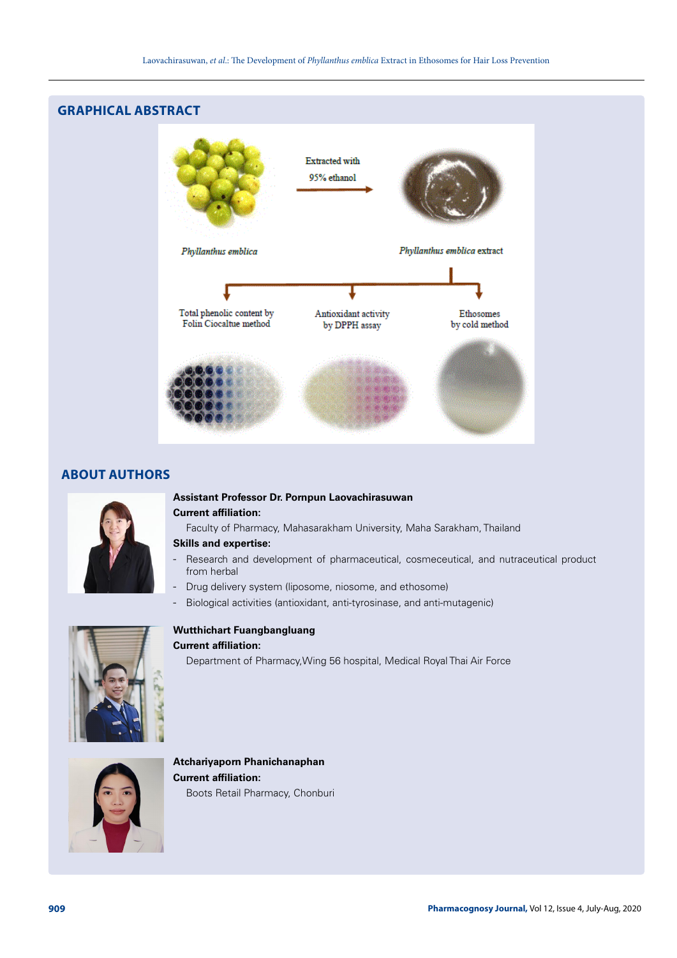# **GRAPHICAL ABSTRACT Extracted with** 95% ethanol Phyllanthus emblica Phyllanthus emblica extract Total phenolic content by Antioxidant activity Ethosomes Folin Ciocaltue method by DPPH assay by cold method

# **ABOUT AUTHORS**



# **Assistant Professor Dr. Pornpun Laovachirasuwan Current affiliation:**

Faculty of Pharmacy, Mahasarakham University, Maha Sarakham, Thailand

# **Skills and expertise:**

- Research and development of pharmaceutical, cosmeceutical, and nutraceutical product from herbal
- Drug delivery system (liposome, niosome, and ethosome)
- Biological activities (antioxidant, anti-tyrosinase, and anti-mutagenic)



# **Wutthichart Fuangbangluang**

# **Current affiliation:**

Department of Pharmacy,Wing 56 hospital, Medical Royal Thai Air Force



**Atchariyaporn Phanichanaphan Current affiliation:**  Boots Retail Pharmacy, Chonburi